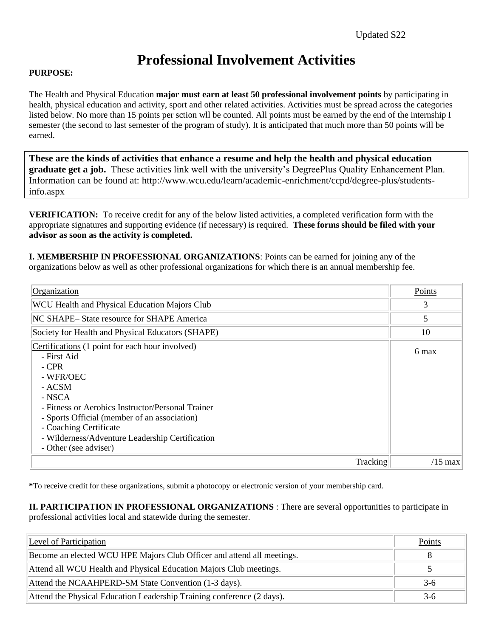## **Professional Involvement Activities**

## **PURPOSE:**

The Health and Physical Education **major must earn at least 50 professional involvement points** by participating in health, physical education and activity, sport and other related activities. Activities must be spread across the categories listed below. No more than 15 points per sction wll be counted. All points must be earned by the end of the internship I semester (the second to last semester of the program of study). It is anticipated that much more than 50 points will be earned.

**These are the kinds of activities that enhance a resume and help the health and physical education graduate get a job.** These activities link well with the university's DegreePlus Quality Enhancement Plan. Information can be found at: http://www.wcu.edu/learn/academic-enrichment/ccpd/degree-plus/studentsinfo.aspx

**VERIFICATION:** To receive credit for any of the below listed activities, a completed verification form with the appropriate signatures and supporting evidence (if necessary) is required. **These forms should be filed with your advisor as soon as the activity is completed.**

**I. MEMBERSHIP IN PROFESSIONAL ORGANIZATIONS**: Points can be earned for joining any of the organizations below as well as other professional organizations for which there is an annual membership fee.

| Organization                                                                                                                                                                                                                                                                                                        | Points    |
|---------------------------------------------------------------------------------------------------------------------------------------------------------------------------------------------------------------------------------------------------------------------------------------------------------------------|-----------|
| <b>WCU Health and Physical Education Majors Club</b>                                                                                                                                                                                                                                                                | 3         |
| NC SHAPE-State resource for SHAPE America                                                                                                                                                                                                                                                                           | 5         |
| Society for Health and Physical Educators (SHAPE)                                                                                                                                                                                                                                                                   | 10        |
| Certifications (1 point for each hour involved)<br>- First Aid<br>- CPR<br>- WFR/OEC<br>- ACSM<br>- NSCA<br>- Fitness or Aerobics Instructor/Personal Trainer<br>- Sports Official (member of an association)<br>- Coaching Certificate<br>- Wilderness/Adventure Leadership Certification<br>- Other (see adviser) | 6 max     |
| Tracking                                                                                                                                                                                                                                                                                                            | $/15$ max |

**\***To receive credit for these organizations, submit a photocopy or electronic version of your membership card.

**II. PARTICIPATION IN PROFESSIONAL ORGANIZATIONS** : There are several opportunities to participate in professional activities local and statewide during the semester.

| Level of Participation                                                 | Points |
|------------------------------------------------------------------------|--------|
| Become an elected WCU HPE Majors Club Officer and attend all meetings. |        |
| Attend all WCU Health and Physical Education Majors Club meetings.     |        |
| Attend the NCAAHPERD-SM State Convention (1-3 days).                   | $3-6$  |
| Attend the Physical Education Leadership Training conference (2 days). | $3-6$  |